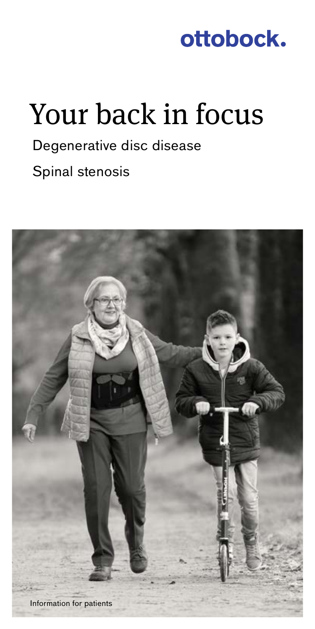

# Your back in focus

# Degenerative disc disease Spinal stenosis

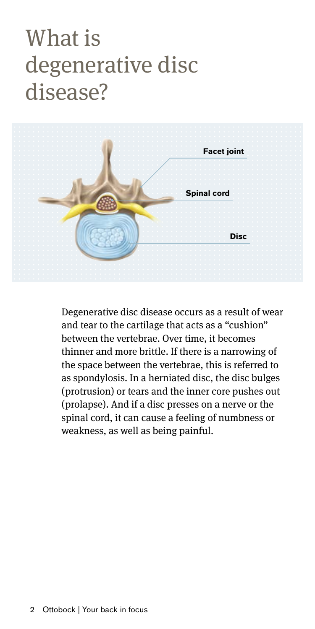# What is degenerative disc disease?



Degenerative disc disease occurs as a result of wear and tear to the cartilage that acts as a "cushion" between the vertebrae. Over time, it becomes thinner and more brittle. If there is a narrowing of the space between the vertebrae, this is referred to as spondylosis. In a herniated disc, the disc bulges (protrusion) or tears and the inner core pushes out (prolapse). And if a disc presses on a nerve or the spinal cord, it can cause a feeling of numbness or weakness, as well as being painful.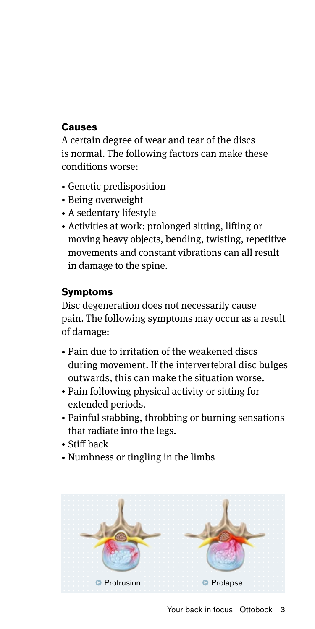## **Causes**

A certain degree of wear and tear of the discs is normal. The following factors can make these conditions worse:

- Genetic predisposition
- Being overweight
- A sedentary lifestyle
- Activities at work: prolonged sitting, lifting or moving heavy objects, bending, twisting, repetitive movements and constant vibrations can all result in damage to the spine.

## **Symptoms**

Disc degeneration does not necessarily cause pain. The following symptoms may occur as a result of damage:

- Pain due to irritation of the weakened discs during movement. If the intervertebral disc bulges outwards, this can make the situation worse.
- Pain following physical activity or sitting for extended periods.
- Painful stabbing, throbbing or burning sensations that radiate into the legs.
- Stiff back
- Numbness or tingling in the limbs

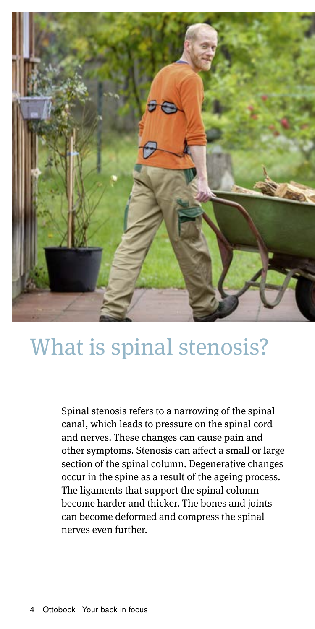

# What is spinal stenosis?

Spinal stenosis refers to a narrowing of the spinal canal, which leads to pressure on the spinal cord and nerves. These changes can cause pain and other symptoms. Stenosis can affect a small or large section of the spinal column. Degenerative changes occur in the spine as a result of the ageing process. The ligaments that support the spinal column become harder and thicker. The bones and joints can become deformed and compress the spinal nerves even further.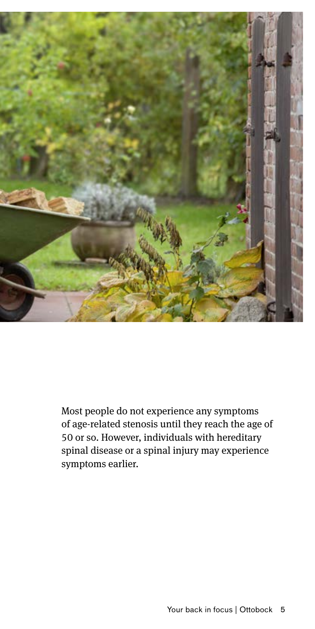

Most people do not experience any symptoms of age-related stenosis until they reach the age of 50 or so. However, individuals with hereditary spinal disease or a spinal injury may experience symptoms earlier.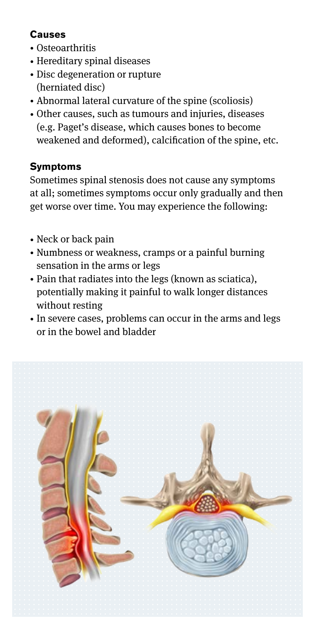## **Causes**

- Osteoarthritis
- Hereditary spinal diseases
- Disc degeneration or rupture (herniated disc)
- Abnormal lateral curvature of the spine (scoliosis)
- Other causes, such as tumours and injuries, diseases (e.g. Paget's disease, which causes bones to become weakened and deformed), calcification of the spine, etc.

## **Symptoms**

Sometimes spinal stenosis does not cause any symptoms at all; sometimes symptoms occur only gradually and then get worse over time. You may experience the following:

- Neck or back pain
- Numbness or weakness, cramps or a painful burning sensation in the arms or legs
- Pain that radiates into the legs (known as sciatica), potentially making it painful to walk longer distances without resting
- In severe cases, problems can occur in the arms and legs or in the bowel and bladder

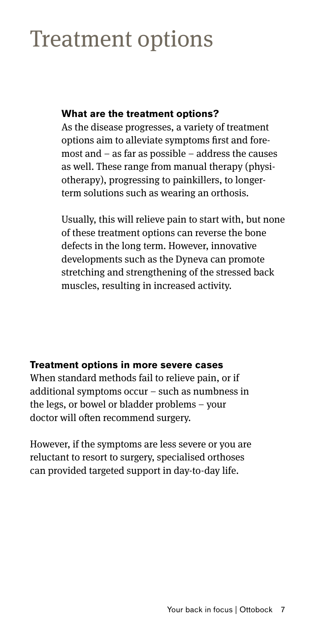# Treatment options

## **What are the treatment options?**

As the disease progresses, a variety of treatment options aim to alleviate symptoms first and foremost and – as far as possible – address the causes as well. These range from manual therapy (physiotherapy), progressing to painkillers, to longerterm solutions such as wearing an orthosis.

Usually, this will relieve pain to start with, but none of these treatment options can reverse the bone defects in the long term. However, innovative developments such as the Dyneva can promote stretching and strengthening of the stressed back muscles, resulting in increased activity.

## **Treatment options in more severe cases**

When standard methods fail to relieve pain, or if additional symptoms occur – such as numbness in the legs, or bowel or bladder problems – your doctor will often recommend surgery.

However, if the symptoms are less severe or you are reluctant to resort to surgery, specialised orthoses can provided targeted support in day-to-day life.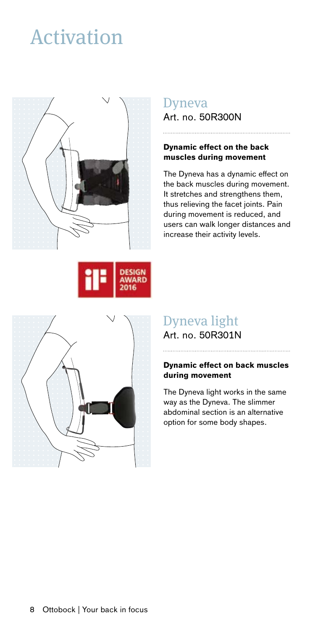# Activation







## Dyneva Art. no. 50R300N

### **Dynamic effect on the back muscles during movement**

The Dyneva has a dynamic effect on the back muscles during movement. It stretches and strengthens them, thus relieving the facet joints. Pain during movement is reduced, and users can walk longer distances and increase their activity levels.

## Dyneva light

Art. no. 50R301N

### **Dynamic effect on back muscles during movement**

The Dyneva light works in the same way as the Dyneva. The slimmer abdominal section is an alternative option for some body shapes.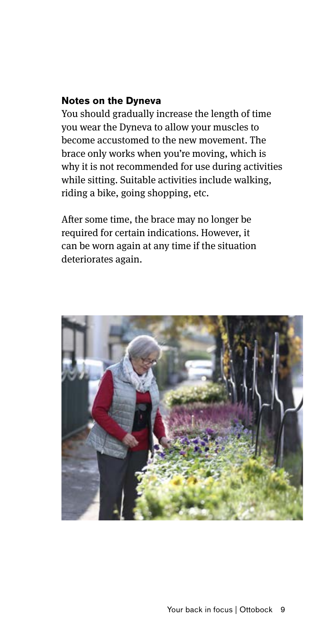### **Notes on the Dyneva**

You should gradually increase the length of time you wear the Dyneva to allow your muscles to become accustomed to the new movement. The brace only works when you're moving, which is why it is not recommended for use during activities while sitting. Suitable activities include walking, riding a bike, going shopping, etc.

After some time, the brace may no longer be required for certain indications. However, it can be worn again at any time if the situation deteriorates again.

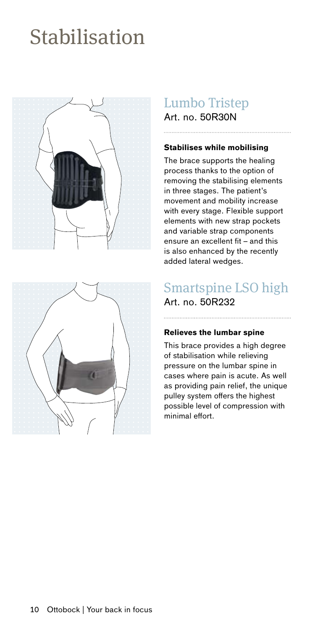# Stabilisation





# Lumbo Tristep

Art. no. 50R30N

### **Stabilises while mobilising**

The brace supports the healing process thanks to the option of removing the stabilising elements in three stages. The patient's movement and mobility increase with every stage. Flexible support elements with new strap pockets and variable strap components ensure an excellent fit – and this is also enhanced by the recently added lateral wedges.

# Smartspine LSO high

## Art. no. 50R232

### **Relieves the lumbar spine**

This brace provides a high degree of stabilisation while relieving pressure on the lumbar spine in cases where pain is acute. As well as providing pain relief, the unique pulley system offers the highest possible level of compression with minimal effort.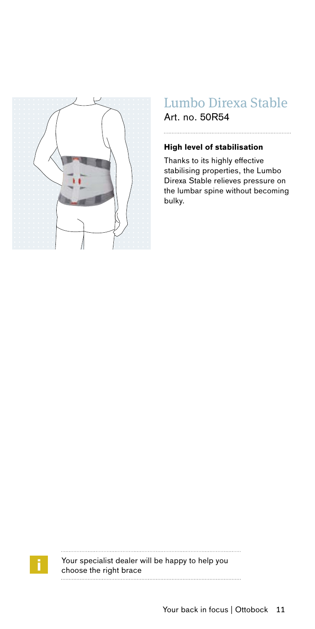

# Lumbo Direxa Stable

Art. no. 50R54

### **High level of stabilisation**

Thanks to its highly effective stabilising properties, the Lumbo Direxa Stable relieves pressure on the lumbar spine without becoming bulky.



 $\begin{minipage}{0.9\linewidth} \begin{tabular}{l} \hline \textbf{1} & \textbf{2} & \textbf{3} & \textbf{4} & \textbf{5} & \textbf{6} & \textbf{6} & \textbf{7} & \textbf{8} & \textbf{9} & \textbf{10} & \textbf{10} & \textbf{10} & \textbf{10} & \textbf{10} & \textbf{10} & \textbf{10} & \textbf{10} & \textbf{10} & \textbf{10} & \textbf{10} & \textbf{10} & \textbf{10} & \textbf{10} & \textbf{10} & \textbf{10$ . . . . . . . . . . . . . Your specialist dealer will be happy to help you choose the right brace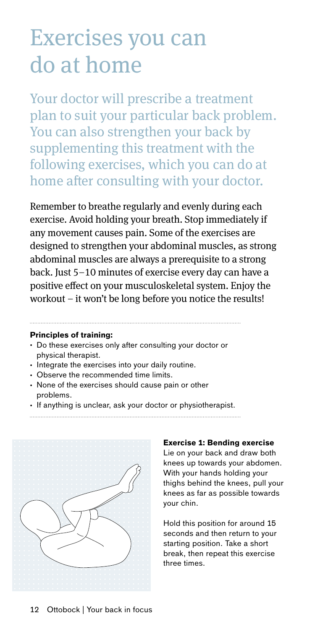# Exercises you can do at home

Your doctor will prescribe a treatment plan to suit your particular back problem. You can also strengthen your back by supplementing this treatment with the following exercises, which you can do at home after consulting with your doctor.

Remember to breathe regularly and evenly during each exercise. Avoid holding your breath. Stop immediately if any movement causes pain. Some of the exercises are designed to strengthen your abdominal muscles, as strong abdominal muscles are always a prerequisite to a strong back. Just 5–10 minutes of exercise every day can have a positive effect on your musculoskeletal system. Enjoy the workout – it won't be long before you notice the results!

### **Principles of training:**

- Do these exercises only after consulting your doctor or physical therapist.
- Integrate the exercises into your daily routine.
- Observe the recommended time limits.
- None of the exercises should cause pain or other problems.
- If anything is unclear, ask your doctor or physiotherapist.
- 



#### **Exercise 1: Bending exercise**

Lie on your back and draw both knees up towards your abdomen. With your hands holding your thighs behind the knees, pull your knees as far as possible towards your chin.

Hold this position for around 15 seconds and then return to your starting position. Take a short break, then repeat this exercise three times.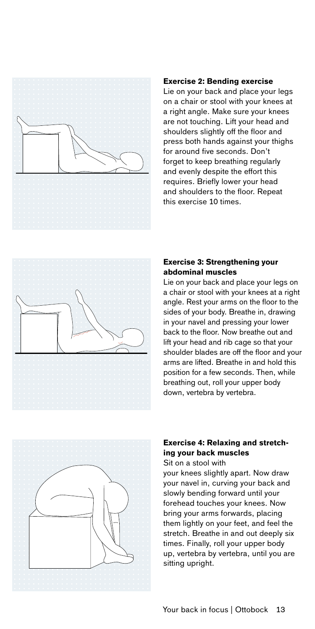

#### **Exercise 2: Bending exercise**

Lie on your back and place your legs on a chair or stool with your knees at a right angle. Make sure your knees are not touching. Lift your head and shoulders slightly off the floor and press both hands against your thighs for around five seconds. Don't forget to keep breathing regularly and evenly despite the effort this requires. Briefly lower your head and shoulders to the floor. Repeat this exercise 10 times.



### **Exercise 3: Strengthening your abdominal muscles**

Lie on your back and place your legs on a chair or stool with your knees at a right angle. Rest your arms on the floor to the sides of your body. Breathe in, drawing in your navel and pressing your lower back to the floor. Now breathe out and lift your head and rib cage so that your shoulder blades are off the floor and your arms are lifted. Breathe in and hold this position for a few seconds. Then, while breathing out, roll your upper body down, vertebra by vertebra.



### **Exercise 4: Relaxing and stretching your back muscles**

Sit on a stool with

your knees slightly apart. Now draw your navel in, curving your back and slowly bending forward until your forehead touches your knees. Now bring your arms forwards, placing them lightly on your feet, and feel the stretch. Breathe in and out deeply six times. Finally, roll your upper body up, vertebra by vertebra, until you are sitting upright.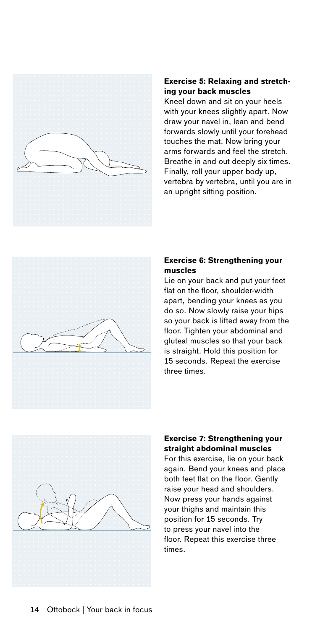

### **Exercise 5: Relaxing and stretching your back muscles**

Kneel down and sit on your heels with your knees slightly apart. Now draw your navel in, lean and bend forwards slowly until your forehead touches the mat. Now bring your arms forwards and feel the stretch. Breathe in and out deeply six times. Finally, roll your upper body up, vertebra by vertebra, until you are in an upright sitting position.



### **Exercise 6: Strengthening your muscles**

Lie on your back and put your feet flat on the floor, shoulder-width apart, bending your knees as you do so. Now slowly raise your hips so your back is lifted away from the floor. Tighten your abdominal and gluteal muscles so that your back is straight. Hold this position for 15 seconds. Repeat the exercise three times.



### **Exercise 7: Strengthening your straight abdominal muscles**

For this exercise, lie on your back again. Bend your knees and place both feet flat on the floor. Gently raise your head and shoulders. Now press your hands against your thighs and maintain this position for 15 seconds. Try to press your navel into the floor. Repeat this exercise three times.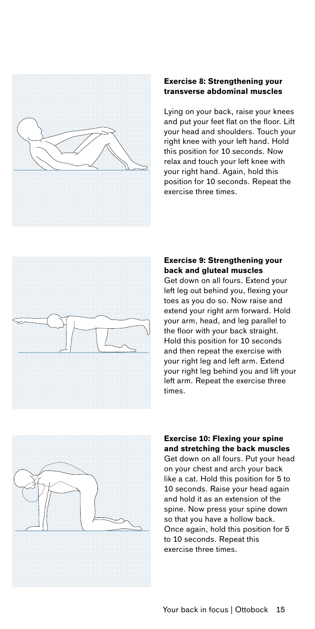

### **Exercise 8: Strengthening your transverse abdominal muscles**

Lying on your back, raise your knees and put your feet flat on the floor. Lift your head and shoulders. Touch your right knee with your left hand. Hold this position for 10 seconds. Now relax and touch your left knee with your right hand. Again, hold this position for 10 seconds. Repeat the .<br>exercise three times



### **Exercise 9: Strengthening your back and gluteal muscles**

Get down on all fours. Extend your left leg out behind you, flexing your toes as you do so. Now raise and extend your right arm forward. Hold your arm, head, and leg parallel to the floor with your back straight. Hold this position for 10 seconds and then repeat the exercise with your right leg and left arm. Extend your right leg behind you and lift your left arm. Repeat the exercise three times.



### **Exercise 10: Flexing your spine and stretching the back muscles**

Get down on all fours. Put your head on your chest and arch your back like a cat. Hold this position for 5 to 10 seconds. Raise your head again and hold it as an extension of the spine. Now press your spine down so that you have a hollow back. Once again, hold this position for 5 to 10 seconds. Repeat this exercise three times.